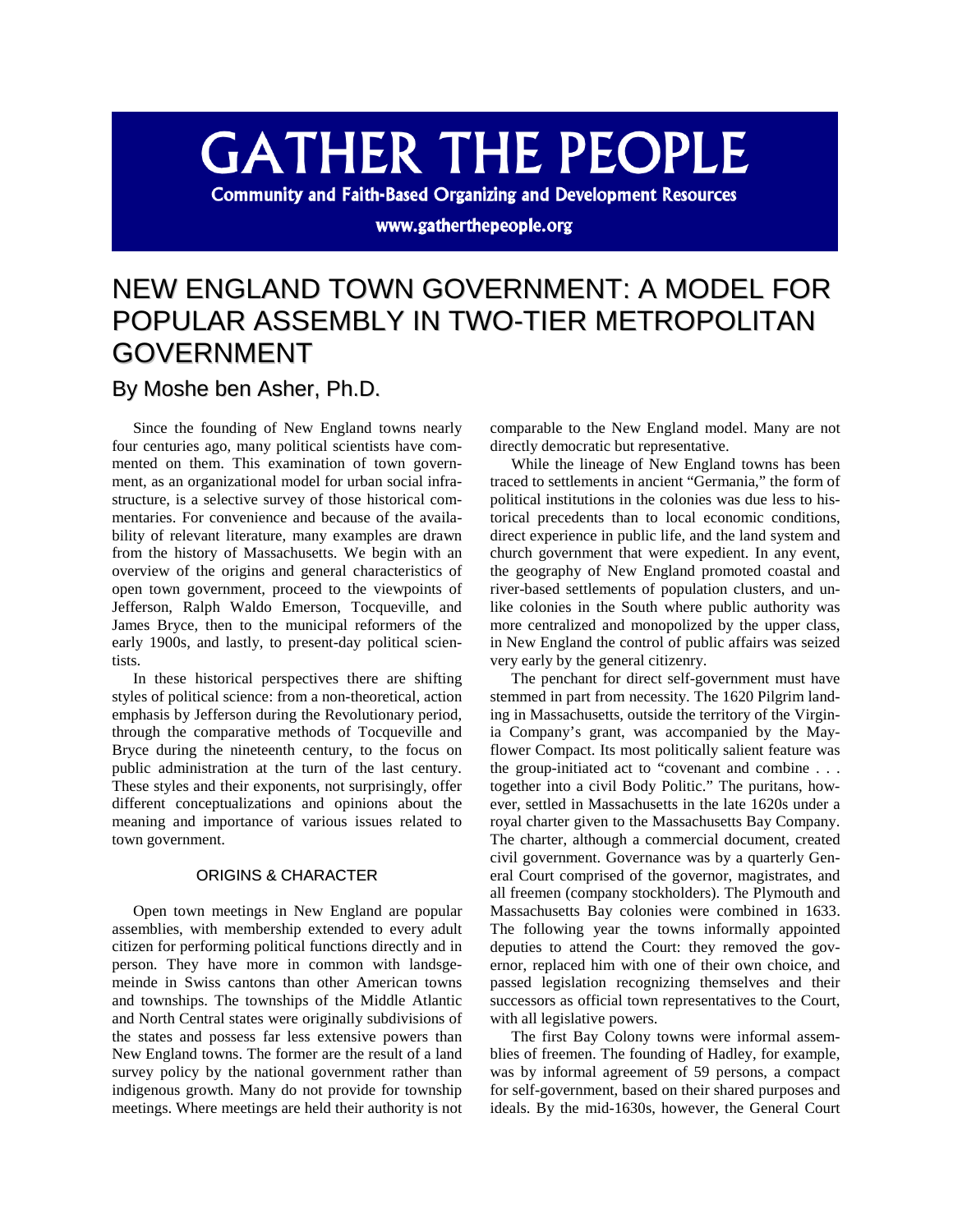# **GATHER THE PEOPLE**

**Community and Faith-Based Organizing and Development Resources** 

#### www.gatherthepeople.org

## NEW ENGLAND TOWN GOVERNMENT: A MODEL FOR POPULAR ASSEMBLY IN TWO-TIER METROPOLITAN GOVERNMENT

### By Moshe ben Asher, Ph.D.

Since the founding of New England towns nearly four centuries ago, many political scientists have commented on them. This examination of town government, as an organizational model for urban social infrastructure, is a selective survey of those historical commentaries. For convenience and because of the availability of relevant literature, many examples are drawn from the history of Massachusetts. We begin with an overview of the origins and general characteristics of open town government, proceed to the viewpoints of Jefferson, Ralph Waldo Emerson, Tocqueville, and James Bryce, then to the municipal reformers of the early 1900s, and lastly, to present-day political scientists.

In these historical perspectives there are shifting styles of political science: from a non-theoretical, action emphasis by Jefferson during the Revolutionary period, through the comparative methods of Tocqueville and Bryce during the nineteenth century, to the focus on public administration at the turn of the last century. These styles and their exponents, not surprisingly, offer different conceptualizations and opinions about the meaning and importance of various issues related to town government.

#### ORIGINS & CHARACTER

Open town meetings in New England are popular assemblies, with membership extended to every adult citizen for performing political functions directly and in person. They have more in common with landsgemeinde in Swiss cantons than other American towns and townships. The townships of the Middle Atlantic and North Central states were originally subdivisions of the states and possess far less extensive powers than New England towns. The former are the result of a land survey policy by the national government rather than indigenous growth. Many do not provide for township meetings. Where meetings are held their authority is not

comparable to the New England model. Many are not directly democratic but representative.

While the lineage of New England towns has been traced to settlements in ancient "Germania," the form of political institutions in the colonies was due less to historical precedents than to local economic conditions, direct experience in public life, and the land system and church government that were expedient. In any event, the geography of New England promoted coastal and river-based settlements of population clusters, and unlike colonies in the South where public authority was more centralized and monopolized by the upper class, in New England the control of public affairs was seized very early by the general citizenry.

The penchant for direct self-government must have stemmed in part from necessity. The 1620 Pilgrim landing in Massachusetts, outside the territory of the Virginia Company's grant, was accompanied by the Mayflower Compact. Its most politically salient feature was the group-initiated act to "covenant and combine . . . together into a civil Body Politic." The puritans, however, settled in Massachusetts in the late 1620s under a royal charter given to the Massachusetts Bay Company. The charter, although a commercial document, created civil government. Governance was by a quarterly General Court comprised of the governor, magistrates, and all freemen (company stockholders). The Plymouth and Massachusetts Bay colonies were combined in 1633. The following year the towns informally appointed deputies to attend the Court: they removed the governor, replaced him with one of their own choice, and passed legislation recognizing themselves and their successors as official town representatives to the Court, with all legislative powers.

The first Bay Colony towns were informal assemblies of freemen. The founding of Hadley, for example, was by informal agreement of 59 persons, a compact for self-government, based on their shared purposes and ideals. By the mid-1630s, however, the General Court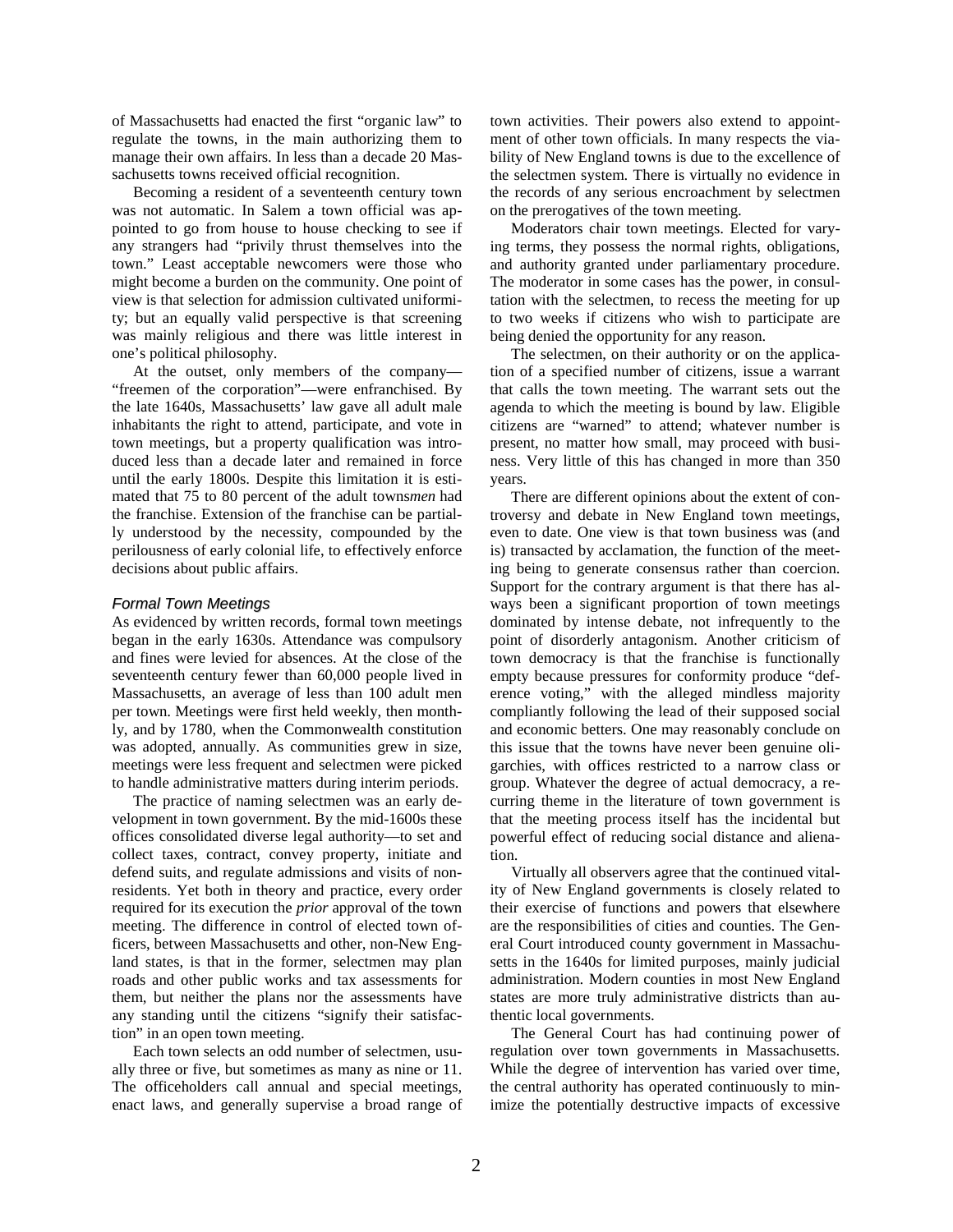of Massachusetts had enacted the first "organic law" to regulate the towns, in the main authorizing them to manage their own affairs. In less than a decade 20 Massachusetts towns received official recognition.

Becoming a resident of a seventeenth century town was not automatic. In Salem a town official was appointed to go from house to house checking to see if any strangers had "privily thrust themselves into the town." Least acceptable newcomers were those who might become a burden on the community. One point of view is that selection for admission cultivated uniformity; but an equally valid perspective is that screening was mainly religious and there was little interest in one's political philosophy.

At the outset, only members of the company— "freemen of the corporation"—were enfranchised. By the late 1640s, Massachusetts' law gave all adult male inhabitants the right to attend, participate, and vote in town meetings, but a property qualification was introduced less than a decade later and remained in force until the early 1800s. Despite this limitation it is estimated that 75 to 80 percent of the adult towns*men* had the franchise. Extension of the franchise can be partially understood by the necessity, compounded by the perilousness of early colonial life, to effectively enforce decisions about public affairs.

#### *Formal Town Meetings*

As evidenced by written records, formal town meetings began in the early 1630s. Attendance was compulsory and fines were levied for absences. At the close of the seventeenth century fewer than 60,000 people lived in Massachusetts, an average of less than 100 adult men per town. Meetings were first held weekly, then monthly, and by 1780, when the Commonwealth constitution was adopted, annually. As communities grew in size, meetings were less frequent and selectmen were picked to handle administrative matters during interim periods.

The practice of naming selectmen was an early development in town government. By the mid-1600s these offices consolidated diverse legal authority—to set and collect taxes, contract, convey property, initiate and defend suits, and regulate admissions and visits of nonresidents. Yet both in theory and practice, every order required for its execution the *prior* approval of the town meeting. The difference in control of elected town officers, between Massachusetts and other, non-New England states, is that in the former, selectmen may plan roads and other public works and tax assessments for them, but neither the plans nor the assessments have any standing until the citizens "signify their satisfaction" in an open town meeting.

Each town selects an odd number of selectmen, usually three or five, but sometimes as many as nine or 11. The officeholders call annual and special meetings, enact laws, and generally supervise a broad range of town activities. Their powers also extend to appointment of other town officials. In many respects the viability of New England towns is due to the excellence of the selectmen system. There is virtually no evidence in the records of any serious encroachment by selectmen on the prerogatives of the town meeting.

Moderators chair town meetings. Elected for varying terms, they possess the normal rights, obligations, and authority granted under parliamentary procedure. The moderator in some cases has the power, in consultation with the selectmen, to recess the meeting for up to two weeks if citizens who wish to participate are being denied the opportunity for any reason.

The selectmen, on their authority or on the application of a specified number of citizens, issue a warrant that calls the town meeting. The warrant sets out the agenda to which the meeting is bound by law. Eligible citizens are "warned" to attend; whatever number is present, no matter how small, may proceed with business. Very little of this has changed in more than 350 years.

There are different opinions about the extent of controversy and debate in New England town meetings, even to date. One view is that town business was (and is) transacted by acclamation, the function of the meeting being to generate consensus rather than coercion. Support for the contrary argument is that there has always been a significant proportion of town meetings dominated by intense debate, not infrequently to the point of disorderly antagonism. Another criticism of town democracy is that the franchise is functionally empty because pressures for conformity produce "deference voting," with the alleged mindless majority compliantly following the lead of their supposed social and economic betters. One may reasonably conclude on this issue that the towns have never been genuine oligarchies, with offices restricted to a narrow class or group. Whatever the degree of actual democracy, a recurring theme in the literature of town government is that the meeting process itself has the incidental but powerful effect of reducing social distance and alienation.

Virtually all observers agree that the continued vitality of New England governments is closely related to their exercise of functions and powers that elsewhere are the responsibilities of cities and counties. The General Court introduced county government in Massachusetts in the 1640s for limited purposes, mainly judicial administration. Modern counties in most New England states are more truly administrative districts than authentic local governments.

The General Court has had continuing power of regulation over town governments in Massachusetts. While the degree of intervention has varied over time, the central authority has operated continuously to minimize the potentially destructive impacts of excessive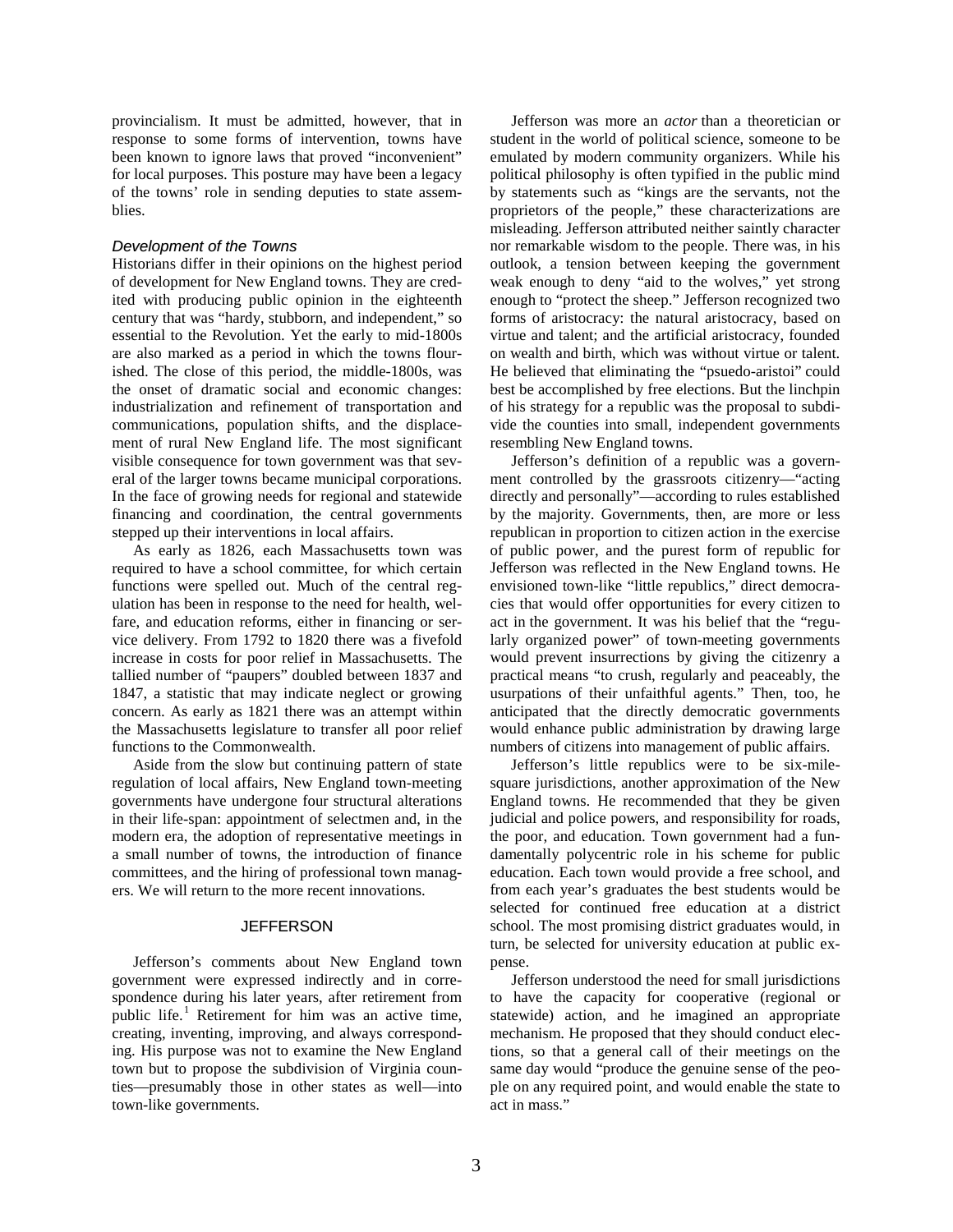provincialism. It must be admitted, however, that in response to some forms of intervention, towns have been known to ignore laws that proved "inconvenient" for local purposes. This posture may have been a legacy of the towns' role in sending deputies to state assemblies.

#### *Development of the Towns*

Historians differ in their opinions on the highest period of development for New England towns. They are credited with producing public opinion in the eighteenth century that was "hardy, stubborn, and independent," so essential to the Revolution. Yet the early to mid-1800s are also marked as a period in which the towns flourished. The close of this period, the middle-1800s, was the onset of dramatic social and economic changes: industrialization and refinement of transportation and communications, population shifts, and the displacement of rural New England life. The most significant visible consequence for town government was that several of the larger towns became municipal corporations. In the face of growing needs for regional and statewide financing and coordination, the central governments stepped up their interventions in local affairs.

As early as 1826, each Massachusetts town was required to have a school committee, for which certain functions were spelled out. Much of the central regulation has been in response to the need for health, welfare, and education reforms, either in financing or service delivery. From 1792 to 1820 there was a fivefold increase in costs for poor relief in Massachusetts. The tallied number of "paupers" doubled between 1837 and 1847, a statistic that may indicate neglect or growing concern. As early as 1821 there was an attempt within the Massachusetts legislature to transfer all poor relief functions to the Commonwealth.

Aside from the slow but continuing pattern of state regulation of local affairs, New England town-meeting governments have undergone four structural alterations in their life-span: appointment of selectmen and, in the modern era, the adoption of representative meetings in a small number of towns, the introduction of finance committees, and the hiring of professional town managers. We will return to the more recent innovations.

#### **JEFFERSON**

Jefferson's comments about New England town government were expressed indirectly and in correspondence during his later years, after retirement from public life.<sup>[1](#page-8-0)</sup> Retirement for him was an active time, creating, inventing, improving, and always corresponding. His purpose was not to examine the New England town but to propose the subdivision of Virginia counties—presumably those in other states as well—into town-like governments.

Jefferson was more an *actor* than a theoretician or student in the world of political science, someone to be emulated by modern community organizers. While his political philosophy is often typified in the public mind by statements such as "kings are the servants, not the proprietors of the people," these characterizations are misleading. Jefferson attributed neither saintly character nor remarkable wisdom to the people. There was, in his outlook, a tension between keeping the government weak enough to deny "aid to the wolves," yet strong enough to "protect the sheep." Jefferson recognized two forms of aristocracy: the natural aristocracy, based on virtue and talent; and the artificial aristocracy, founded on wealth and birth, which was without virtue or talent. He believed that eliminating the "psuedo-aristoi" could best be accomplished by free elections. But the linchpin of his strategy for a republic was the proposal to subdivide the counties into small, independent governments resembling New England towns.

Jefferson's definition of a republic was a government controlled by the grassroots citizenry—"acting directly and personally"—according to rules established by the majority. Governments, then, are more or less republican in proportion to citizen action in the exercise of public power, and the purest form of republic for Jefferson was reflected in the New England towns. He envisioned town-like "little republics," direct democracies that would offer opportunities for every citizen to act in the government. It was his belief that the "regularly organized power" of town-meeting governments would prevent insurrections by giving the citizenry a practical means "to crush, regularly and peaceably, the usurpations of their unfaithful agents." Then, too, he anticipated that the directly democratic governments would enhance public administration by drawing large numbers of citizens into management of public affairs.

Jefferson's little republics were to be six-milesquare jurisdictions, another approximation of the New England towns. He recommended that they be given judicial and police powers, and responsibility for roads, the poor, and education. Town government had a fundamentally polycentric role in his scheme for public education. Each town would provide a free school, and from each year's graduates the best students would be selected for continued free education at a district school. The most promising district graduates would, in turn, be selected for university education at public expense.

Jefferson understood the need for small jurisdictions to have the capacity for cooperative (regional or statewide) action, and he imagined an appropriate mechanism. He proposed that they should conduct elections, so that a general call of their meetings on the same day would "produce the genuine sense of the people on any required point, and would enable the state to act in mass."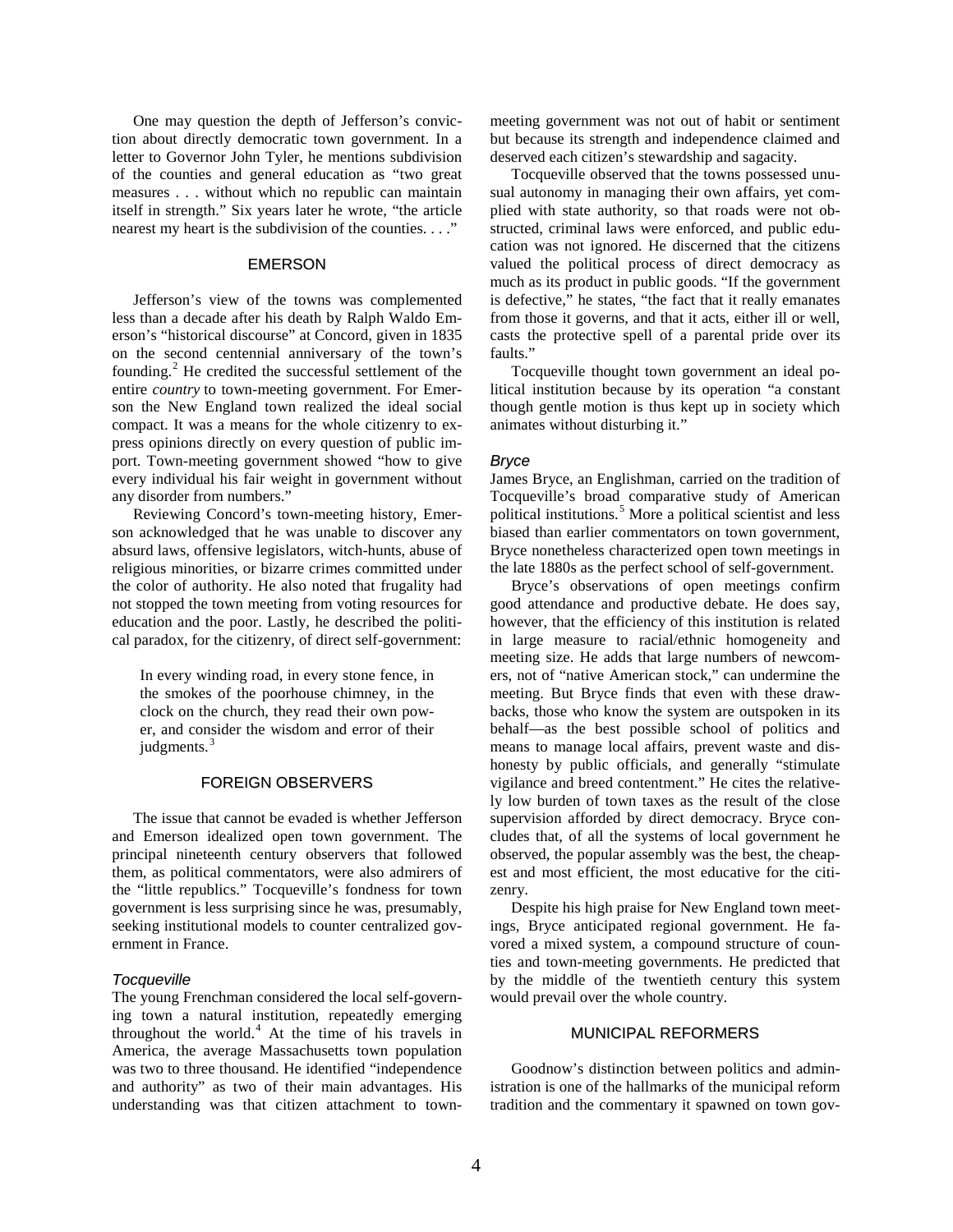One may question the depth of Jefferson's conviction about directly democratic town government. In a letter to Governor John Tyler, he mentions subdivision of the counties and general education as "two great measures . . . without which no republic can maintain itself in strength." Six years later he wrote, "the article nearest my heart is the subdivision of the counties. . . ."

#### EMERSON

Jefferson's view of the towns was complemented less than a decade after his death by Ralph Waldo Emerson's "historical discourse" at Concord, given in 1835 on the second centennial anniversary of the town's founding. $^{2}$  $^{2}$  $^{2}$  He credited the successful settlement of the entire *country* to town-meeting government. For Emerson the New England town realized the ideal social compact. It was a means for the whole citizenry to express opinions directly on every question of public import. Town-meeting government showed "how to give every individual his fair weight in government without any disorder from numbers."

Reviewing Concord's town-meeting history, Emerson acknowledged that he was unable to discover any absurd laws, offensive legislators, witch-hunts, abuse of religious minorities, or bizarre crimes committed under the color of authority. He also noted that frugality had not stopped the town meeting from voting resources for education and the poor. Lastly, he described the political paradox, for the citizenry, of direct self-government:

In every winding road, in every stone fence, in the smokes of the poorhouse chimney, in the clock on the church, they read their own power, and consider the wisdom and error of their judgments.<sup>[3](#page-8-2)</sup>

#### FOREIGN OBSERVERS

The issue that cannot be evaded is whether Jefferson and Emerson idealized open town government. The principal nineteenth century observers that followed them, as political commentators, were also admirers of the "little republics." Tocqueville's fondness for town government is less surprising since he was, presumably, seeking institutional models to counter centralized government in France.

#### *Tocqueville*

The young Frenchman considered the local self-governing town a natural institution, repeatedly emerging throughout the world. $4$  At the time of his travels in America, the average Massachusetts town population was two to three thousand. He identified "independence and authority" as two of their main advantages. His understanding was that citizen attachment to townmeeting government was not out of habit or sentiment but because its strength and independence claimed and deserved each citizen's stewardship and sagacity.

Tocqueville observed that the towns possessed unusual autonomy in managing their own affairs, yet complied with state authority, so that roads were not obstructed, criminal laws were enforced, and public education was not ignored. He discerned that the citizens valued the political process of direct democracy as much as its product in public goods. "If the government is defective," he states, "the fact that it really emanates from those it governs, and that it acts, either ill or well, casts the protective spell of a parental pride over its faults."

Tocqueville thought town government an ideal political institution because by its operation "a constant though gentle motion is thus kept up in society which animates without disturbing it."

#### *Bryce*

James Bryce, an Englishman, carried on the tradition of Tocqueville's broad comparative study of American political institutions.<sup>[5](#page-8-4)</sup> More a political scientist and less biased than earlier commentators on town government, Bryce nonetheless characterized open town meetings in the late 1880s as the perfect school of self-government.

Bryce's observations of open meetings confirm good attendance and productive debate. He does say, however, that the efficiency of this institution is related in large measure to racial/ethnic homogeneity and meeting size. He adds that large numbers of newcomers, not of "native American stock," can undermine the meeting. But Bryce finds that even with these drawbacks, those who know the system are outspoken in its behalf—as the best possible school of politics and means to manage local affairs, prevent waste and dishonesty by public officials, and generally "stimulate vigilance and breed contentment." He cites the relatively low burden of town taxes as the result of the close supervision afforded by direct democracy. Bryce concludes that, of all the systems of local government he observed, the popular assembly was the best, the cheapest and most efficient, the most educative for the citizenry.

Despite his high praise for New England town meetings, Bryce anticipated regional government. He favored a mixed system, a compound structure of counties and town-meeting governments. He predicted that by the middle of the twentieth century this system would prevail over the whole country.

#### MUNICIPAL REFORMERS

Goodnow's distinction between politics and administration is one of the hallmarks of the municipal reform tradition and the commentary it spawned on town gov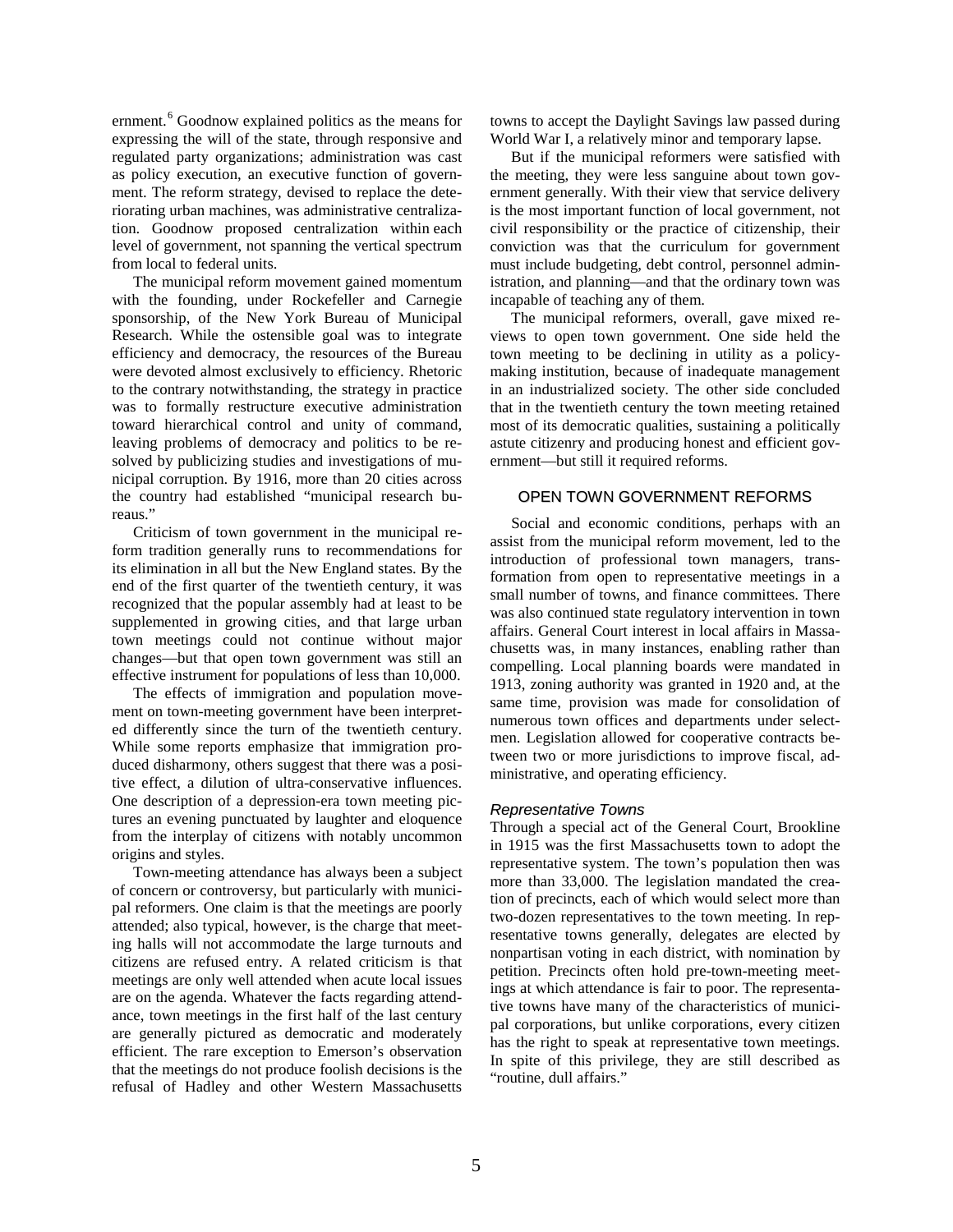ernment.<sup>[6](#page-8-5)</sup> Goodnow explained politics as the means for expressing the will of the state, through responsive and regulated party organizations; administration was cast as policy execution, an executive function of government. The reform strategy, devised to replace the deteriorating urban machines, was administrative centralization. Goodnow proposed centralization within each level of government, not spanning the vertical spectrum from local to federal units.

The municipal reform movement gained momentum with the founding, under Rockefeller and Carnegie sponsorship, of the New York Bureau of Municipal Research. While the ostensible goal was to integrate efficiency and democracy, the resources of the Bureau were devoted almost exclusively to efficiency. Rhetoric to the contrary notwithstanding, the strategy in practice was to formally restructure executive administration toward hierarchical control and unity of command, leaving problems of democracy and politics to be resolved by publicizing studies and investigations of municipal corruption. By 1916, more than 20 cities across the country had established "municipal research bureaus."

Criticism of town government in the municipal reform tradition generally runs to recommendations for its elimination in all but the New England states. By the end of the first quarter of the twentieth century, it was recognized that the popular assembly had at least to be supplemented in growing cities, and that large urban town meetings could not continue without major changes—but that open town government was still an effective instrument for populations of less than 10,000.

The effects of immigration and population movement on town-meeting government have been interpreted differently since the turn of the twentieth century. While some reports emphasize that immigration produced disharmony, others suggest that there was a positive effect, a dilution of ultra-conservative influences. One description of a depression-era town meeting pictures an evening punctuated by laughter and eloquence from the interplay of citizens with notably uncommon origins and styles.

Town-meeting attendance has always been a subject of concern or controversy, but particularly with municipal reformers. One claim is that the meetings are poorly attended; also typical, however, is the charge that meeting halls will not accommodate the large turnouts and citizens are refused entry. A related criticism is that meetings are only well attended when acute local issues are on the agenda. Whatever the facts regarding attendance, town meetings in the first half of the last century are generally pictured as democratic and moderately efficient. The rare exception to Emerson's observation that the meetings do not produce foolish decisions is the refusal of Hadley and other Western Massachusetts towns to accept the Daylight Savings law passed during World War I, a relatively minor and temporary lapse.

But if the municipal reformers were satisfied with the meeting, they were less sanguine about town government generally. With their view that service delivery is the most important function of local government, not civil responsibility or the practice of citizenship, their conviction was that the curriculum for government must include budgeting, debt control, personnel administration, and planning—and that the ordinary town was incapable of teaching any of them.

The municipal reformers, overall, gave mixed reviews to open town government. One side held the town meeting to be declining in utility as a policymaking institution, because of inadequate management in an industrialized society. The other side concluded that in the twentieth century the town meeting retained most of its democratic qualities, sustaining a politically astute citizenry and producing honest and efficient government—but still it required reforms.

#### OPEN TOWN GOVERNMENT REFORMS

Social and economic conditions, perhaps with an assist from the municipal reform movement, led to the introduction of professional town managers, transformation from open to representative meetings in a small number of towns, and finance committees. There was also continued state regulatory intervention in town affairs. General Court interest in local affairs in Massachusetts was, in many instances, enabling rather than compelling. Local planning boards were mandated in 1913, zoning authority was granted in 1920 and, at the same time, provision was made for consolidation of numerous town offices and departments under selectmen. Legislation allowed for cooperative contracts between two or more jurisdictions to improve fiscal, administrative, and operating efficiency.

#### *Representative Towns*

Through a special act of the General Court, Brookline in 1915 was the first Massachusetts town to adopt the representative system. The town's population then was more than 33,000. The legislation mandated the creation of precincts, each of which would select more than two-dozen representatives to the town meeting. In representative towns generally, delegates are elected by nonpartisan voting in each district, with nomination by petition. Precincts often hold pre-town-meeting meetings at which attendance is fair to poor. The representative towns have many of the characteristics of municipal corporations, but unlike corporations, every citizen has the right to speak at representative town meetings. In spite of this privilege, they are still described as "routine, dull affairs."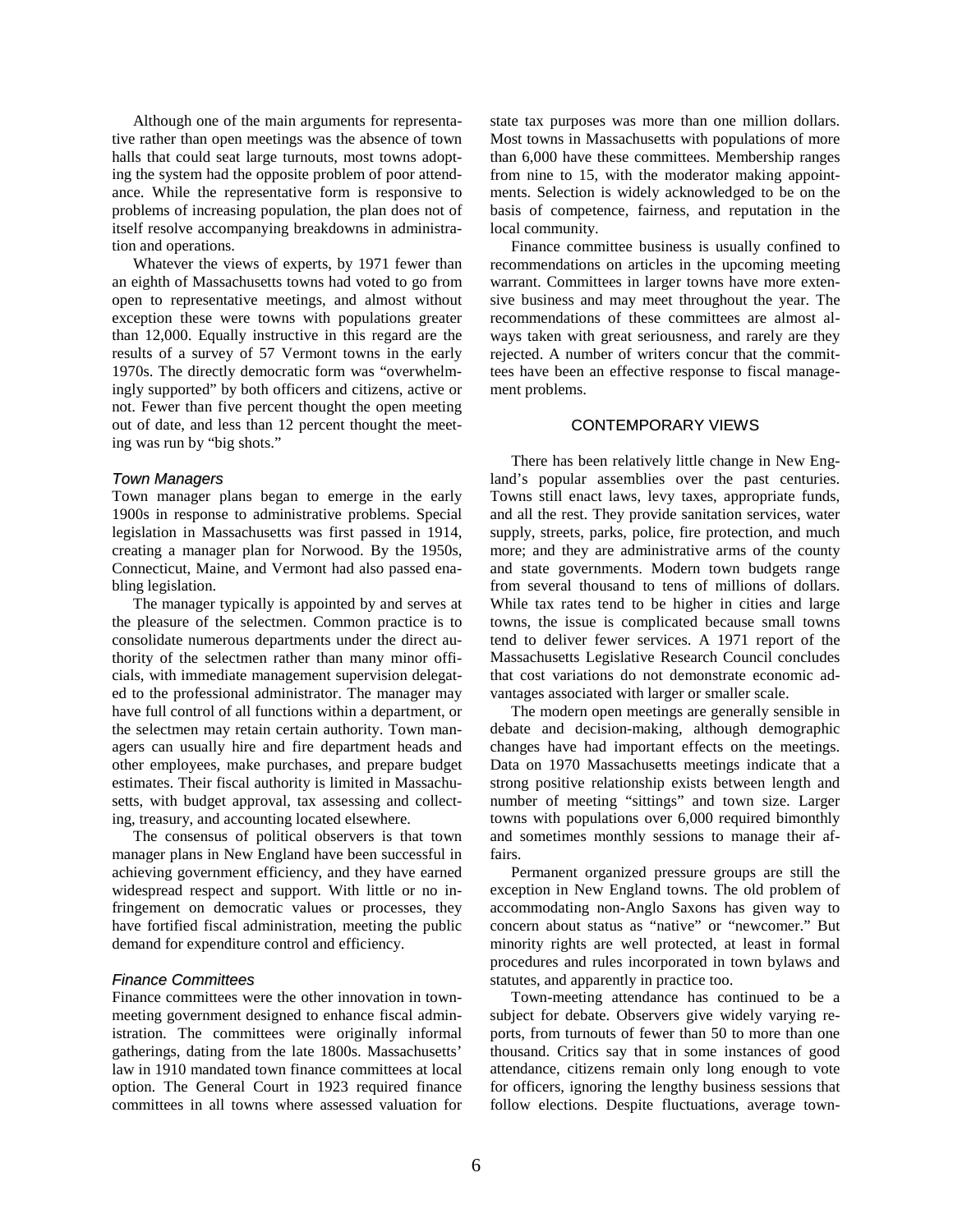Although one of the main arguments for representative rather than open meetings was the absence of town halls that could seat large turnouts, most towns adopting the system had the opposite problem of poor attendance. While the representative form is responsive to problems of increasing population, the plan does not of itself resolve accompanying breakdowns in administration and operations.

Whatever the views of experts, by 1971 fewer than an eighth of Massachusetts towns had voted to go from open to representative meetings, and almost without exception these were towns with populations greater than 12,000. Equally instructive in this regard are the results of a survey of 57 Vermont towns in the early 1970s. The directly democratic form was "overwhelmingly supported" by both officers and citizens, active or not. Fewer than five percent thought the open meeting out of date, and less than 12 percent thought the meeting was run by "big shots."

#### *Town Managers*

Town manager plans began to emerge in the early 1900s in response to administrative problems. Special legislation in Massachusetts was first passed in 1914, creating a manager plan for Norwood. By the 1950s, Connecticut, Maine, and Vermont had also passed enabling legislation.

The manager typically is appointed by and serves at the pleasure of the selectmen. Common practice is to consolidate numerous departments under the direct authority of the selectmen rather than many minor officials, with immediate management supervision delegated to the professional administrator. The manager may have full control of all functions within a department, or the selectmen may retain certain authority. Town managers can usually hire and fire department heads and other employees, make purchases, and prepare budget estimates. Their fiscal authority is limited in Massachusetts, with budget approval, tax assessing and collecting, treasury, and accounting located elsewhere.

The consensus of political observers is that town manager plans in New England have been successful in achieving government efficiency, and they have earned widespread respect and support. With little or no infringement on democratic values or processes, they have fortified fiscal administration, meeting the public demand for expenditure control and efficiency.

#### *Finance Committees*

Finance committees were the other innovation in townmeeting government designed to enhance fiscal administration. The committees were originally informal gatherings, dating from the late 1800s. Massachusetts' law in 1910 mandated town finance committees at local option. The General Court in 1923 required finance committees in all towns where assessed valuation for state tax purposes was more than one million dollars. Most towns in Massachusetts with populations of more than 6,000 have these committees. Membership ranges from nine to 15, with the moderator making appointments. Selection is widely acknowledged to be on the basis of competence, fairness, and reputation in the local community.

Finance committee business is usually confined to recommendations on articles in the upcoming meeting warrant. Committees in larger towns have more extensive business and may meet throughout the year. The recommendations of these committees are almost always taken with great seriousness, and rarely are they rejected. A number of writers concur that the committees have been an effective response to fiscal management problems.

#### CONTEMPORARY VIEWS

There has been relatively little change in New England's popular assemblies over the past centuries. Towns still enact laws, levy taxes, appropriate funds, and all the rest. They provide sanitation services, water supply, streets, parks, police, fire protection, and much more; and they are administrative arms of the county and state governments. Modern town budgets range from several thousand to tens of millions of dollars. While tax rates tend to be higher in cities and large towns, the issue is complicated because small towns tend to deliver fewer services. A 1971 report of the Massachusetts Legislative Research Council concludes that cost variations do not demonstrate economic advantages associated with larger or smaller scale.

The modern open meetings are generally sensible in debate and decision-making, although demographic changes have had important effects on the meetings. Data on 1970 Massachusetts meetings indicate that a strong positive relationship exists between length and number of meeting "sittings" and town size. Larger towns with populations over 6,000 required bimonthly and sometimes monthly sessions to manage their affairs.

Permanent organized pressure groups are still the exception in New England towns. The old problem of accommodating non-Anglo Saxons has given way to concern about status as "native" or "newcomer." But minority rights are well protected, at least in formal procedures and rules incorporated in town bylaws and statutes, and apparently in practice too.

Town-meeting attendance has continued to be a subject for debate. Observers give widely varying reports, from turnouts of fewer than 50 to more than one thousand. Critics say that in some instances of good attendance, citizens remain only long enough to vote for officers, ignoring the lengthy business sessions that follow elections. Despite fluctuations, average town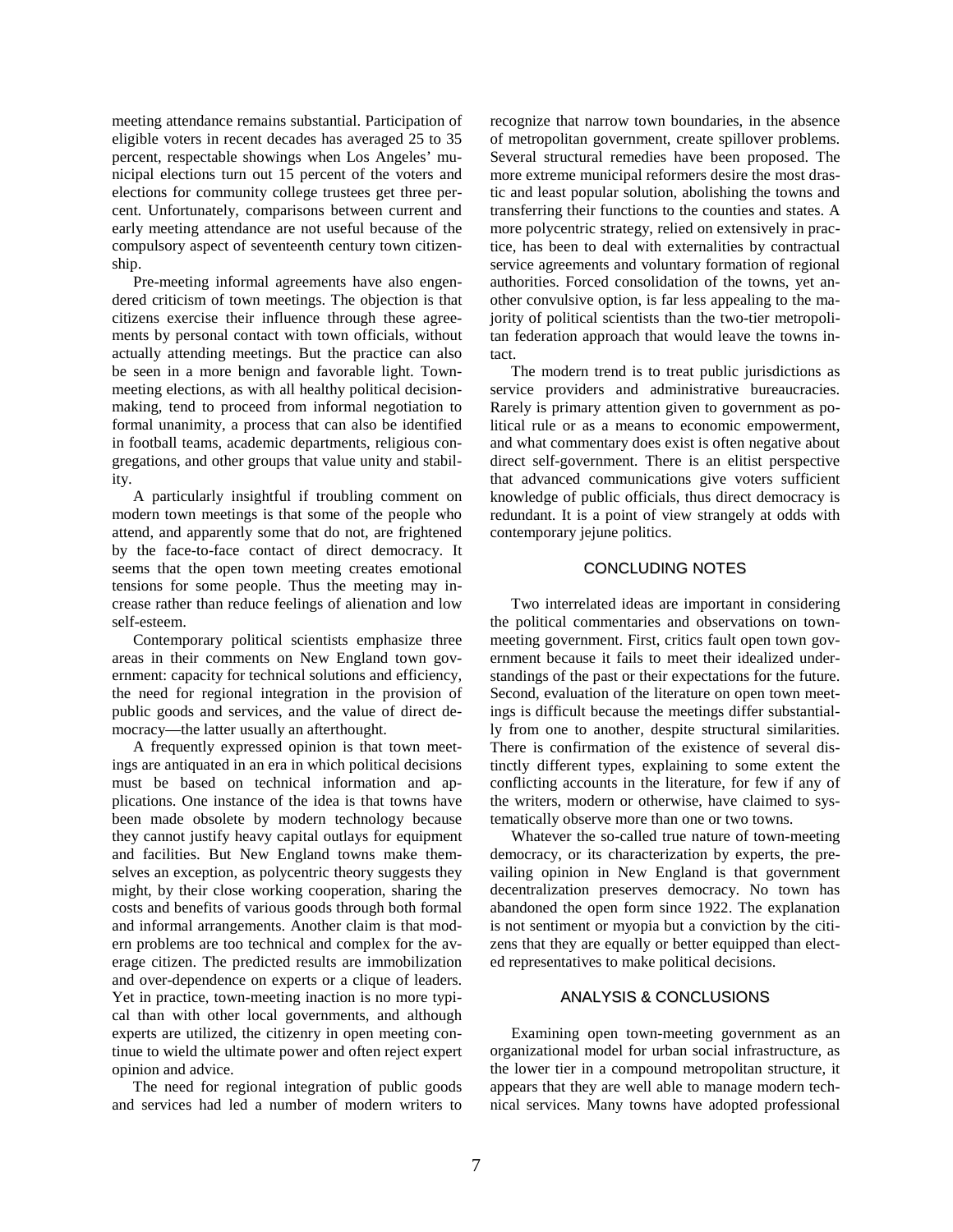meeting attendance remains substantial. Participation of eligible voters in recent decades has averaged 25 to 35 percent, respectable showings when Los Angeles' municipal elections turn out 15 percent of the voters and elections for community college trustees get three percent. Unfortunately, comparisons between current and early meeting attendance are not useful because of the compulsory aspect of seventeenth century town citizenship.

Pre-meeting informal agreements have also engendered criticism of town meetings. The objection is that citizens exercise their influence through these agreements by personal contact with town officials, without actually attending meetings. But the practice can also be seen in a more benign and favorable light. Townmeeting elections, as with all healthy political decisionmaking, tend to proceed from informal negotiation to formal unanimity, a process that can also be identified in football teams, academic departments, religious congregations, and other groups that value unity and stability.

A particularly insightful if troubling comment on modern town meetings is that some of the people who attend, and apparently some that do not, are frightened by the face-to-face contact of direct democracy. It seems that the open town meeting creates emotional tensions for some people. Thus the meeting may increase rather than reduce feelings of alienation and low self-esteem.

Contemporary political scientists emphasize three areas in their comments on New England town government: capacity for technical solutions and efficiency, the need for regional integration in the provision of public goods and services, and the value of direct democracy—the latter usually an afterthought.

A frequently expressed opinion is that town meetings are antiquated in an era in which political decisions must be based on technical information and applications. One instance of the idea is that towns have been made obsolete by modern technology because they cannot justify heavy capital outlays for equipment and facilities. But New England towns make themselves an exception, as polycentric theory suggests they might, by their close working cooperation, sharing the costs and benefits of various goods through both formal and informal arrangements. Another claim is that modern problems are too technical and complex for the average citizen. The predicted results are immobilization and over-dependence on experts or a clique of leaders. Yet in practice, town-meeting inaction is no more typical than with other local governments, and although experts are utilized, the citizenry in open meeting continue to wield the ultimate power and often reject expert opinion and advice.

The need for regional integration of public goods and services had led a number of modern writers to recognize that narrow town boundaries, in the absence of metropolitan government, create spillover problems. Several structural remedies have been proposed. The more extreme municipal reformers desire the most drastic and least popular solution, abolishing the towns and transferring their functions to the counties and states. A more polycentric strategy, relied on extensively in practice, has been to deal with externalities by contractual service agreements and voluntary formation of regional authorities. Forced consolidation of the towns, yet another convulsive option, is far less appealing to the majority of political scientists than the two-tier metropolitan federation approach that would leave the towns intact.

The modern trend is to treat public jurisdictions as service providers and administrative bureaucracies. Rarely is primary attention given to government as political rule or as a means to economic empowerment, and what commentary does exist is often negative about direct self-government. There is an elitist perspective that advanced communications give voters sufficient knowledge of public officials, thus direct democracy is redundant. It is a point of view strangely at odds with contemporary jejune politics.

#### CONCLUDING NOTES

Two interrelated ideas are important in considering the political commentaries and observations on townmeeting government. First, critics fault open town government because it fails to meet their idealized understandings of the past or their expectations for the future. Second, evaluation of the literature on open town meetings is difficult because the meetings differ substantially from one to another, despite structural similarities. There is confirmation of the existence of several distinctly different types, explaining to some extent the conflicting accounts in the literature, for few if any of the writers, modern or otherwise, have claimed to systematically observe more than one or two towns.

Whatever the so-called true nature of town-meeting democracy, or its characterization by experts, the prevailing opinion in New England is that government decentralization preserves democracy. No town has abandoned the open form since 1922. The explanation is not sentiment or myopia but a conviction by the citizens that they are equally or better equipped than elected representatives to make political decisions.

#### ANALYSIS & CONCLUSIONS

Examining open town-meeting government as an organizational model for urban social infrastructure, as the lower tier in a compound metropolitan structure, it appears that they are well able to manage modern technical services. Many towns have adopted professional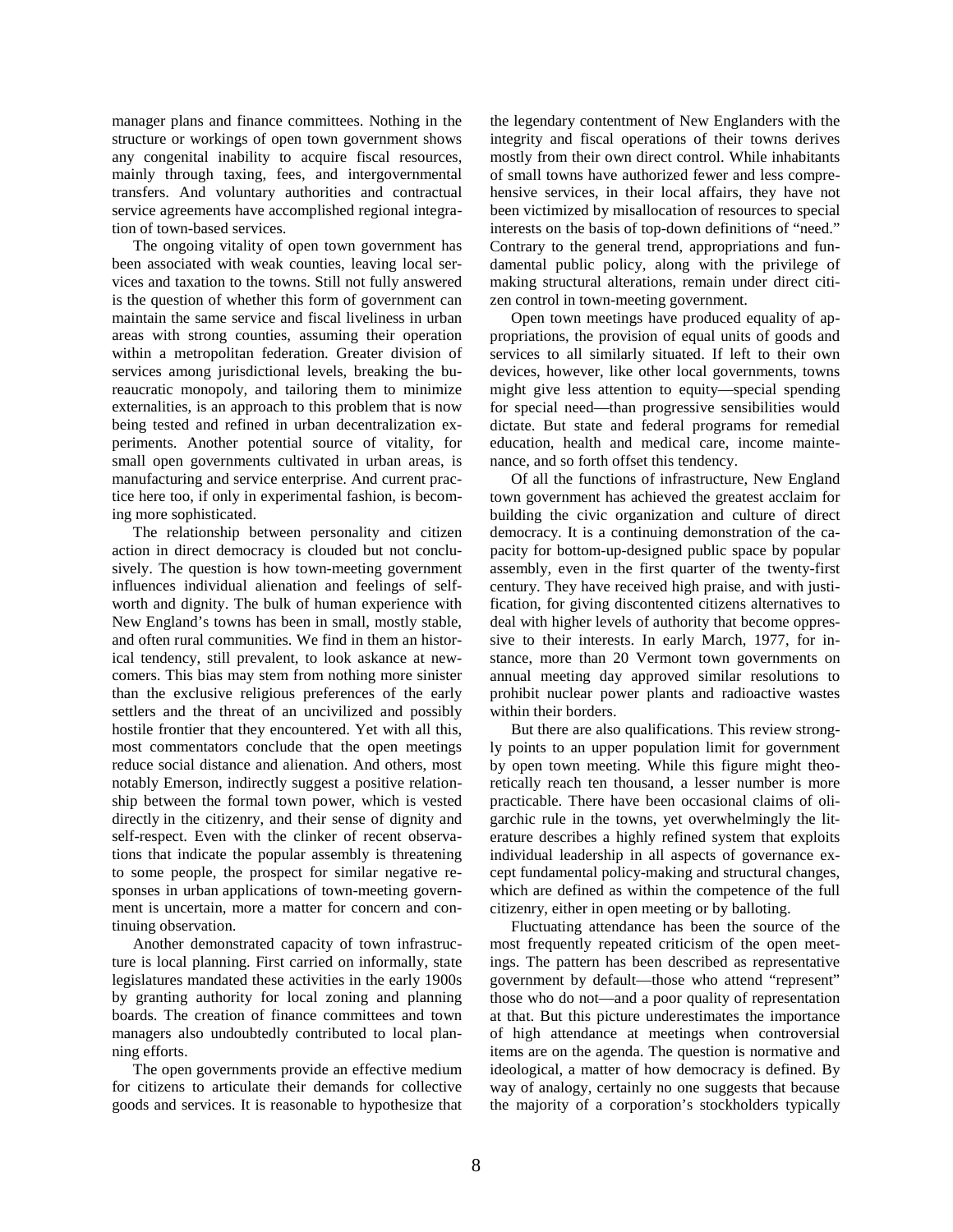manager plans and finance committees. Nothing in the structure or workings of open town government shows any congenital inability to acquire fiscal resources, mainly through taxing, fees, and intergovernmental transfers. And voluntary authorities and contractual service agreements have accomplished regional integration of town-based services.

The ongoing vitality of open town government has been associated with weak counties, leaving local services and taxation to the towns. Still not fully answered is the question of whether this form of government can maintain the same service and fiscal liveliness in urban areas with strong counties, assuming their operation within a metropolitan federation. Greater division of services among jurisdictional levels, breaking the bureaucratic monopoly, and tailoring them to minimize externalities, is an approach to this problem that is now being tested and refined in urban decentralization experiments. Another potential source of vitality, for small open governments cultivated in urban areas, is manufacturing and service enterprise. And current practice here too, if only in experimental fashion, is becoming more sophisticated.

The relationship between personality and citizen action in direct democracy is clouded but not conclusively. The question is how town-meeting government influences individual alienation and feelings of selfworth and dignity. The bulk of human experience with New England's towns has been in small, mostly stable, and often rural communities. We find in them an historical tendency, still prevalent, to look askance at newcomers. This bias may stem from nothing more sinister than the exclusive religious preferences of the early settlers and the threat of an uncivilized and possibly hostile frontier that they encountered. Yet with all this, most commentators conclude that the open meetings reduce social distance and alienation. And others, most notably Emerson, indirectly suggest a positive relationship between the formal town power, which is vested directly in the citizenry, and their sense of dignity and self-respect. Even with the clinker of recent observations that indicate the popular assembly is threatening to some people, the prospect for similar negative responses in urban applications of town-meeting government is uncertain, more a matter for concern and continuing observation.

Another demonstrated capacity of town infrastructure is local planning. First carried on informally, state legislatures mandated these activities in the early 1900s by granting authority for local zoning and planning boards. The creation of finance committees and town managers also undoubtedly contributed to local planning efforts.

The open governments provide an effective medium for citizens to articulate their demands for collective goods and services. It is reasonable to hypothesize that the legendary contentment of New Englanders with the integrity and fiscal operations of their towns derives mostly from their own direct control. While inhabitants of small towns have authorized fewer and less comprehensive services, in their local affairs, they have not been victimized by misallocation of resources to special interests on the basis of top-down definitions of "need." Contrary to the general trend, appropriations and fundamental public policy, along with the privilege of making structural alterations, remain under direct citizen control in town-meeting government.

Open town meetings have produced equality of appropriations, the provision of equal units of goods and services to all similarly situated. If left to their own devices, however, like other local governments, towns might give less attention to equity—special spending for special need—than progressive sensibilities would dictate. But state and federal programs for remedial education, health and medical care, income maintenance, and so forth offset this tendency.

Of all the functions of infrastructure, New England town government has achieved the greatest acclaim for building the civic organization and culture of direct democracy. It is a continuing demonstration of the capacity for bottom-up-designed public space by popular assembly, even in the first quarter of the twenty-first century. They have received high praise, and with justification, for giving discontented citizens alternatives to deal with higher levels of authority that become oppressive to their interests. In early March, 1977, for instance, more than 20 Vermont town governments on annual meeting day approved similar resolutions to prohibit nuclear power plants and radioactive wastes within their borders.

But there are also qualifications. This review strongly points to an upper population limit for government by open town meeting. While this figure might theoretically reach ten thousand, a lesser number is more practicable. There have been occasional claims of oligarchic rule in the towns, yet overwhelmingly the literature describes a highly refined system that exploits individual leadership in all aspects of governance except fundamental policy-making and structural changes, which are defined as within the competence of the full citizenry, either in open meeting or by balloting.

Fluctuating attendance has been the source of the most frequently repeated criticism of the open meetings. The pattern has been described as representative government by default—those who attend "represent" those who do not—and a poor quality of representation at that. But this picture underestimates the importance of high attendance at meetings when controversial items are on the agenda. The question is normative and ideological, a matter of how democracy is defined. By way of analogy, certainly no one suggests that because the majority of a corporation's stockholders typically